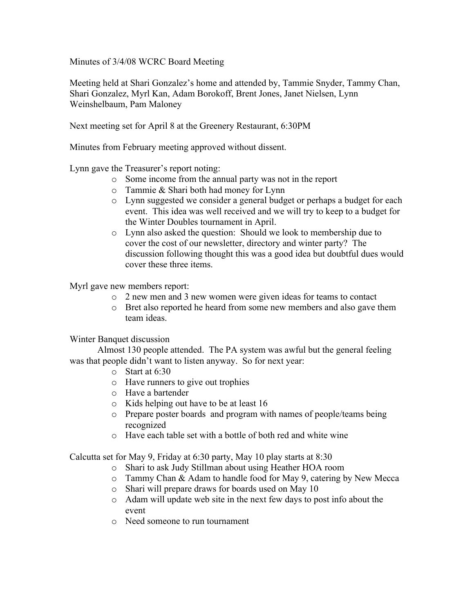Minutes of 3/4/08 WCRC Board Meeting

Meeting held at Shari Gonzalez's home and attended by, Tammie Snyder, Tammy Chan, Shari Gonzalez, Myrl Kan, Adam Borokoff, Brent Jones, Janet Nielsen, Lynn Weinshelbaum, Pam Maloney

Next meeting set for April 8 at the Greenery Restaurant, 6:30PM

Minutes from February meeting approved without dissent.

Lynn gave the Treasurer's report noting:

- o Some income from the annual party was not in the report
- o Tammie & Shari both had money for Lynn
- o Lynn suggested we consider a general budget or perhaps a budget for each event. This idea was well received and we will try to keep to a budget for the Winter Doubles tournament in April.
- o Lynn also asked the question: Should we look to membership due to cover the cost of our newsletter, directory and winter party? The discussion following thought this was a good idea but doubtful dues would cover these three items.

Myrl gave new members report:

- o 2 new men and 3 new women were given ideas for teams to contact
- o Bret also reported he heard from some new members and also gave them team ideas.

Winter Banquet discussion

Almost 130 people attended. The PA system was awful but the general feeling was that people didn't want to listen anyway. So for next year:

- o Start at 6:30
- o Have runners to give out trophies
- o Have a bartender
- o Kids helping out have to be at least 16
- o Prepare poster boards and program with names of people/teams being recognized
- o Have each table set with a bottle of both red and white wine

Calcutta set for May 9, Friday at 6:30 party, May 10 play starts at 8:30

- o Shari to ask Judy Stillman about using Heather HOA room
- o Tammy Chan & Adam to handle food for May 9, catering by New Mecca
- o Shari will prepare draws for boards used on May 10
- o Adam will update web site in the next few days to post info about the event
- o Need someone to run tournament